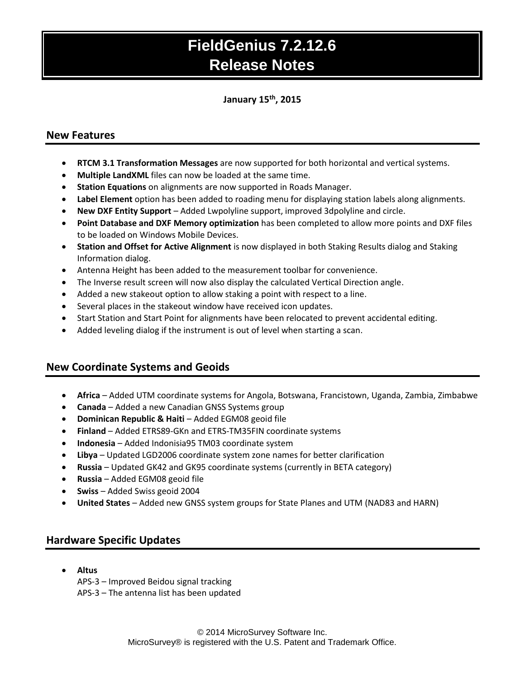### **January 15 th , 2015**

### **New Features**

- **RTCM 3.1 Transformation Messages** are now supported for both horizontal and vertical systems.
- **Multiple LandXML** files can now be loaded at the same time.
- **Station Equations** on alignments are now supported in Roads Manager.
- **Label Element** option has been added to roading menu for displaying station labels along alignments.
- **New DXF Entity Support** Added Lwpolyline support, improved 3dpolyline and circle.
- **Point Database and DXF Memory optimization** has been completed to allow more points and DXF files to be loaded on Windows Mobile Devices.
- **Station and Offset for Active Alignment** is now displayed in both Staking Results dialog and Staking Information dialog.
- Antenna Height has been added to the measurement toolbar for convenience.
- The Inverse result screen will now also display the calculated Vertical Direction angle.
- Added a new stakeout option to allow staking a point with respect to a line.
- Several places in the stakeout window have received icon updates.
- Start Station and Start Point for alignments have been relocated to prevent accidental editing.
- Added leveling dialog if the instrument is out of level when starting a scan.

## **New Coordinate Systems and Geoids**

- **Africa** Added UTM coordinate systems for Angola, Botswana, Francistown, Uganda, Zambia, Zimbabwe
- **Canada**  Added a new Canadian GNSS Systems group
- **Dominican Republic & Haiti** Added EGM08 geoid file
- **Finland**  Added ETRS89-GKn and ETRS-TM35FIN coordinate systems
- **Indonesia**  Added Indonisia95 TM03 coordinate system
- **Libya** Updated LGD2006 coordinate system zone names for better clarification
- **Russia** Updated GK42 and GK95 coordinate systems (currently in BETA category)
- **Russia**  Added EGM08 geoid file
- **Swiss**  Added Swiss geoid 2004
- **United States**  Added new GNSS system groups for State Planes and UTM (NAD83 and HARN)

### **Hardware Specific Updates**

- **Altus**
	- APS-3 Improved Beidou signal tracking APS-3 – The antenna list has been updated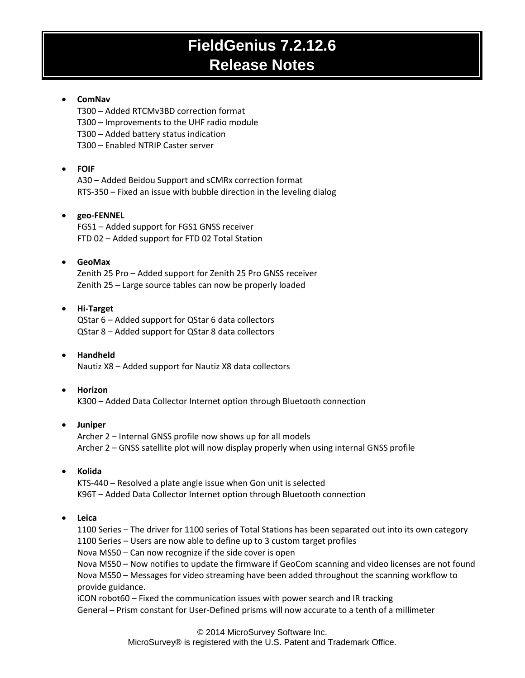#### **ComNav**

T300 – Added RTCMv3BD correction format

- T300 Improvements to the UHF radio module
- T300 Added battery status indication

T300 – Enabled NTRIP Caster server

#### **FOIF**

A30 – Added Beidou Support and sCMRx correction format RTS-350 – Fixed an issue with bubble direction in the leveling dialog

#### **geo-FENNEL**

FGS1 – Added support for FGS1 GNSS receiver FTD 02 – Added support for FTD 02 Total Station

#### **GeoMax**

Zenith 25 Pro – Added support for Zenith 25 Pro GNSS receiver Zenith 25 – Large source tables can now be properly loaded

#### **Hi-Target**

QStar 6 – Added support for QStar 6 data collectors QStar 8 – Added support for QStar 8 data collectors

#### **Handheld** Nautiz X8 – Added support for Nautiz X8 data collectors

#### **Horizon**

K300 – Added Data Collector Internet option through Bluetooth connection

#### **Juniper**

Archer 2 – Internal GNSS profile now shows up for all models Archer 2 – GNSS satellite plot will now display properly when using internal GNSS profile

#### **Kolida**

KTS-440 – Resolved a plate angle issue when Gon unit is selected K96T – Added Data Collector Internet option through Bluetooth connection

#### **Leica**

1100 Series – The driver for 1100 series of Total Stations has been separated out into its own category 1100 Series – Users are now able to define up to 3 custom target profiles Nova MS50 – Can now recognize if the side cover is open Nova MS50 – Now notifies to update the firmware if GeoCom scanning and video licenses are not found Nova MS50 – Messages for video streaming have been added throughout the scanning workflow to provide guidance.

iCON robot60 – Fixed the communication issues with power search and IR tracking General – Prism constant for User-Defined prisms will now accurate to a tenth of a millimeter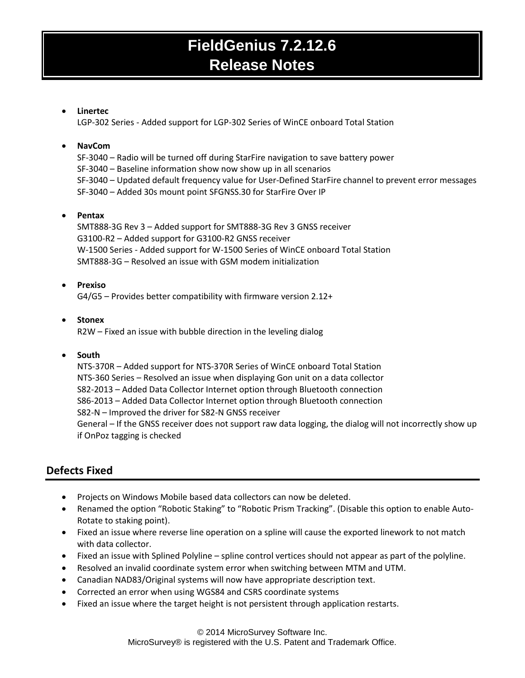#### **Linertec**

LGP-302 Series - Added support for LGP-302 Series of WinCE onboard Total Station

#### **NavCom**

SF-3040 – Radio will be turned off during StarFire navigation to save battery power SF-3040 – Baseline information show now show up in all scenarios SF-3040 – Updated default frequency value for User-Defined StarFire channel to prevent error messages SF-3040 – Added 30s mount point SFGNSS.30 for StarFire Over IP

#### **Pentax**

SMT888-3G Rev 3 – Added support for SMT888-3G Rev 3 GNSS receiver G3100-R2 – Added support for G3100-R2 GNSS receiver W-1500 Series - Added support for W-1500 Series of WinCE onboard Total Station SMT888-3G – Resolved an issue with GSM modem initialization

#### **Prexiso**

G4/G5 – Provides better compatibility with firmware version 2.12+

# **Stonex**

R2W – Fixed an issue with bubble direction in the leveling dialog

#### **South**

NTS-370R – Added support for NTS-370R Series of WinCE onboard Total Station NTS-360 Series – Resolved an issue when displaying Gon unit on a data collector S82-2013 – Added Data Collector Internet option through Bluetooth connection S86-2013 – Added Data Collector Internet option through Bluetooth connection S82-N – Improved the driver for S82-N GNSS receiver General – If the GNSS receiver does not support raw data logging, the dialog will not incorrectly show up if OnPoz tagging is checked

## **Defects Fixed**

- Projects on Windows Mobile based data collectors can now be deleted.
- Renamed the option "Robotic Staking" to "Robotic Prism Tracking". (Disable this option to enable Auto-Rotate to staking point).
- Fixed an issue where reverse line operation on a spline will cause the exported linework to not match with data collector.
- Fixed an issue with Splined Polyline spline control vertices should not appear as part of the polyline.
- Resolved an invalid coordinate system error when switching between MTM and UTM.
- Canadian NAD83/Original systems will now have appropriate description text.
- Corrected an error when using WGS84 and CSRS coordinate systems
- Fixed an issue where the target height is not persistent through application restarts.